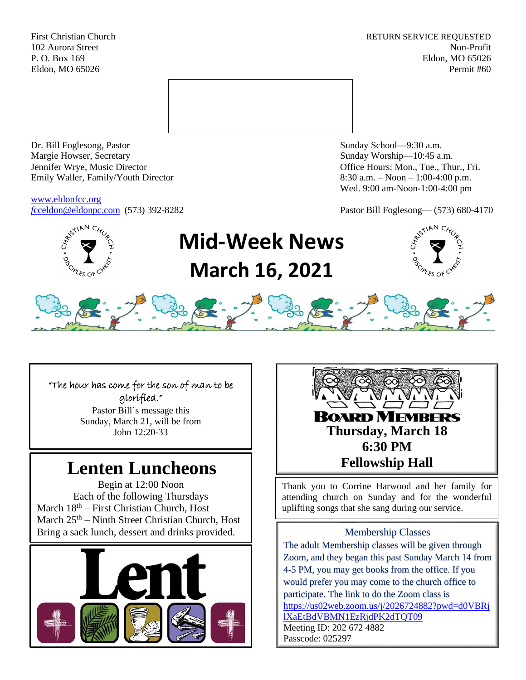First Christian Church **RETURN SERVICE REQUESTED** 102 Aurora Street Non-Profit P. O. Box 169 Eldon, MO 65026 Eldon, MO 65026 Permit #60



Dr. Bill Foglesong, Pastor Sunday School—9:30 a.m. Margie Howser, Secretary Sunday Worship—10:45 a.m. Jennifer Wrye, Music Director Office Hours: Mon., Tue., Thur., Fri. Emily Waller, Family/Youth Director 8:30 a.m. – Noon – 1:00-4:00 p.m.

[www.eldonfcc.org](http://www.eldonfcc.org/)

Wed. 9:00 am-Noon-1:00-4:00 pm

*f*[cceldon@eldonpc.com](mailto:fcceldon@eldonpc.com) (573) 392-8282 Pastor Bill Foglesong— (573) 680-4170



# **Mid-Week News March 16, 2021**



### "The hour has come for the son of man to be glorified."

Pastor Bill's message this Sunday, March 21, will be from

# Lenten Luncheons | Fellowship Hall

Begin at 12:00 Noon Each of the following Thursdays March  $18<sup>th</sup>$  – First Christian Church, Host March  $25<sup>th</sup>$  – Ninth Street Christian Church, Host Bring a sack lunch, dessert and drinks provided. Membership Classes



**ROARD MEMRERS** John 12:20-33 **Thursday, March 18 6:30 PM**

> Thank you to Corrine Harwood and her family for attending church on Sunday and for the wonderful uplifting songs that she sang during our service.

The adult Membership classes will be given through Zoom, and they began this past Sunday March 14 from 4-5 PM, you may get books from the office. If you would prefer you may come to the church office to participate. The link to do the Zoom class is [https://us02web.zoom.us/j/2026724882?pwd=d0VBRj](https://us02web.zoom.us/j/2026724882?pwd=d0VBRjlXaEtBdVBMN1EzRjdPK2dTQT09) [lXaEtBdVBMN1EzRjdPK2dTQT09](https://us02web.zoom.us/j/2026724882?pwd=d0VBRjlXaEtBdVBMN1EzRjdPK2dTQT09) Meeting ID: 202 672 4882 Passcode: 025297